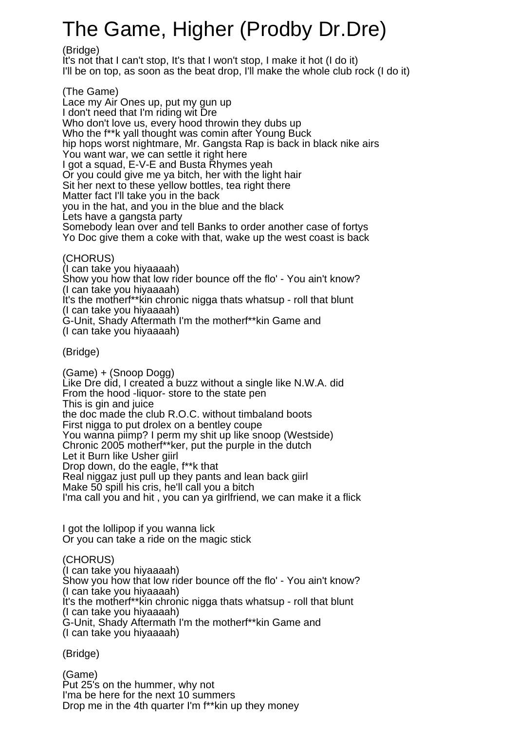## The Game, Higher (Prodby Dr.Dre)

(Bridge)

It's not that I can't stop, It's that I won't stop, I make it hot (I do it) I'll be on top, as soon as the beat drop, I'll make the whole club rock (I do it)

(The Game) Lace my Air Ones up, put my gun up I don't need that I'm riding wit Dre Who don't love us, every hood throwin they dubs up Who the f\*\*k yall thought was comin after Young Buck hip hops worst nightmare, Mr. Gangsta Rap is back in black nike airs You want war, we can settle it right here I got a squad, E-V-E and Busta Rhymes yeah Or you could give me ya bitch, her with the light hair Sit her next to these yellow bottles, tea right there Matter fact I'll take you in the back you in the hat, and you in the blue and the black Lets have a gangsta party Somebody lean over and tell Banks to order another case of fortys Yo Doc give them a coke with that, wake up the west coast is back

(CHORUS)

(I can take you hiyaaaah) Show you how that low rider bounce off the flo' - You ain't know? (I can take you hiyaaaah) It's the motherf\*\*kin chronic nigga thats whatsup - roll that blunt (I can take you hiyaaaah) G-Unit, Shady Aftermath I'm the motherf\*\*kin Game and (I can take you hiyaaaah)

(Bridge)

(Game) + (Snoop Dogg) Like Dre did, I created a buzz without a single like N.W.A. did From the hood -liquor- store to the state pen This is gin and juice the doc made the club R.O.C. without timbaland boots First nigga to put drolex on a bentley coupe You wanna piimp? I perm my shit up like snoop (Westside) Chronic 2005 motherf\*\*ker, put the purple in the dutch Let it Burn like Usher giirl Drop down, do the eagle, f\*\*k that Real niggaz just pull up they pants and lean back giirl Make 50 spill his cris, he'll call you a bitch I'ma call you and hit , you can ya girlfriend, we can make it a flick

I got the lollipop if you wanna lick Or you can take a ride on the magic stick

(CHORUS) (I can take you hiyaaaah) Show you how that low rider bounce off the flo' - You ain't know? (I can take you hiyaaaah) It's the motherf\*\*kin chronic nigga thats whatsup - roll that blunt (I can take you hiyaaaah) G-Unit, Shady Aftermath I'm the motherf\*\*kin Game and (I can take you hiyaaaah)

(Bridge)

(Game) Put 25's on the hummer, why not I'ma be here for the next 10 summers Drop me in the 4th quarter I'm f\*\*kin up they money